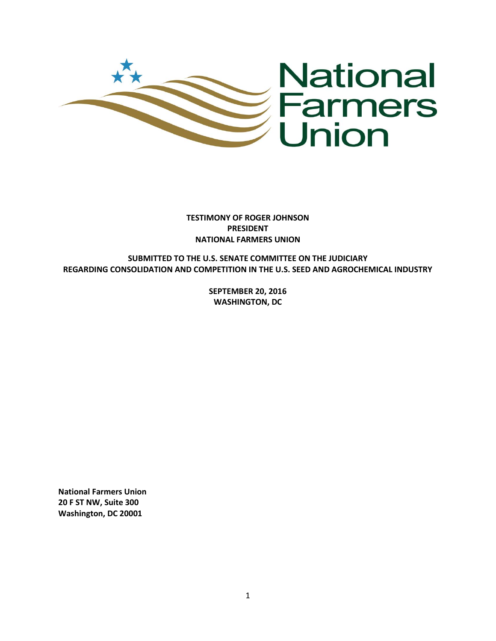

**TESTIMONY OF ROGER JOHNSON PRESIDENT NATIONAL FARMERS UNION**

**SUBMITTED TO THE U.S. SENATE COMMITTEE ON THE JUDICIARY REGARDING CONSOLIDATION AND COMPETITION IN THE U.S. SEED AND AGROCHEMICAL INDUSTRY** 

> **SEPTEMBER 20, 2016 WASHINGTON, DC**

**National Farmers Union 20 F ST NW, Suite 300 Washington, DC 20001**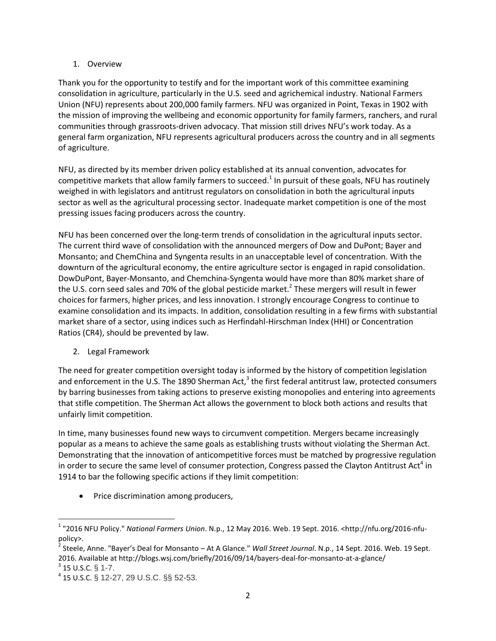## 1. Overview

Thank you for the opportunity to testify and for the important work of this committee examining consolidation in agriculture, particularly in the U.S. seed and agrichemical industry. National Farmers Union (NFU) represents about 200,000 family farmers. NFU was organized in Point, Texas in 1902 with the mission of improving the wellbeing and economic opportunity for family farmers, ranchers, and rural communities through grassroots-driven advocacy. That mission still drives NFU's work today. As a general farm organization, NFU represents agricultural producers across the country and in all segments of agriculture.

NFU, as directed by its member driven policy established at its annual convention, advocates for competitive markets that allow family farmers to succeed.<sup>1</sup> In pursuit of these goals, NFU has routinely weighed in with legislators and antitrust regulators on consolidation in both the agricultural inputs sector as well as the agricultural processing sector. Inadequate market competition is one of the most pressing issues facing producers across the country.

NFU has been concerned over the long-term trends of consolidation in the agricultural inputs sector. The current third wave of consolidation with the announced mergers of Dow and DuPont; Bayer and Monsanto; and ChemChina and Syngenta results in an unacceptable level of concentration. With the downturn of the agricultural economy, the entire agriculture sector is engaged in rapid consolidation. DowDuPont, Bayer-Monsanto, and Chemchina-Syngenta would have more than 80% market share of the U.S. corn seed sales and 70% of the global pesticide market.<sup>2</sup> These mergers will result in fewer choices for farmers, higher prices, and less innovation. I strongly encourage Congress to continue to examine consolidation and its impacts. In addition, consolidation resulting in a few firms with substantial market share of a sector, using indices such as Herfindahl-Hirschman Index (HHI) or Concentration Ratios (CR4), should be prevented by law.

2. Legal Framework

The need for greater competition oversight today is informed by the history of competition legislation and enforcement in the U.S. The 1890 Sherman Act,<sup>3</sup> the first federal antitrust law, protected consumers by barring businesses from taking actions to preserve existing monopolies and entering into agreements that stifle competition. The Sherman Act allows the government to block both actions and results that unfairly limit competition.

In time, many businesses found new ways to circumvent competition. Mergers became increasingly popular as a means to achieve the same goals as establishing trusts without violating the Sherman Act. Demonstrating that the innovation of anticompetitive forces must be matched by progressive regulation in order to secure the same level of consumer protection, Congress passed the Clayton Antitrust Act<sup>4</sup> in 1914 to bar the following specific actions if they limit competition:

• Price discrimination among producers,

 $\overline{a}$ 

<sup>1</sup> "2016 NFU Policy." *National Farmers Union*. N.p., 12 May 2016. Web. 19 Sept. 2016. <http://nfu.org/2016-nfupolicy>.

<sup>2</sup> Steele, Anne. "Bayer's Deal for Monsanto – At A Glance." *Wall Street Journal*. N.p., 14 Sept. 2016. Web. 19 Sept. 2016. Available at http://blogs.wsj.com/briefly/2016/09/14/bayers-deal-for-monsanto-at-a-glance/

 $3$  15 U.S.C. § 1-7.

<sup>4</sup> 15 U.S.C. § 12-27, 29 U.S.C. §§ 52-53.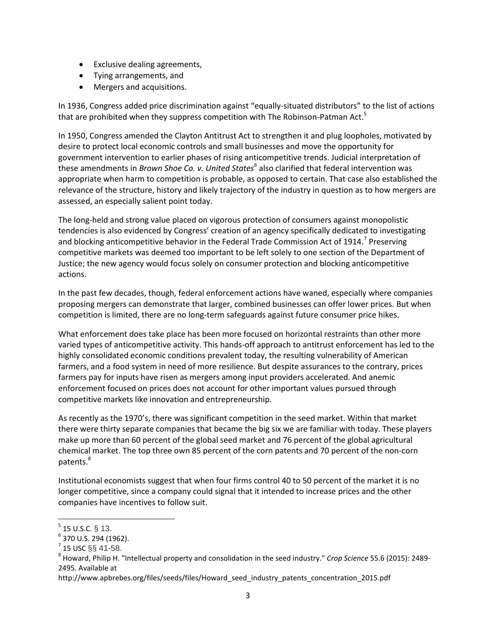- Exclusive dealing agreements,
- Tying arrangements, and
- Mergers and acquisitions.

In 1936, Congress added price discrimination against "equally-situated distributors" to the list of actions that are prohibited when they suppress competition with The Robinson-Patman Act.<sup>5</sup>

In 1950, Congress amended the Clayton Antitrust Act to strengthen it and plug loopholes, motivated by desire to protect local economic controls and small businesses and move the opportunity for government intervention to earlier phases of rising anticompetitive trends. Judicial interpretation of these amendments in *Brown Shoe Co. v. United States<sup>6</sup>* also clarified that federal intervention was appropriate when harm to competition is probable, as opposed to certain. That case also established the relevance of the structure, history and likely trajectory of the industry in question as to how mergers are assessed, an especially salient point today.

The long-held and strong value placed on vigorous protection of consumers against monopolistic tendencies is also evidenced by Congress' creation of an agency specifically dedicated to investigating and blocking anticompetitive behavior in the Federal Trade Commission Act of 1914.<sup>7</sup> Preserving competitive markets was deemed too important to be left solely to one section of the Department of Justice; the new agency would focus solely on consumer protection and blocking anticompetitive actions.

In the past few decades, though, federal enforcement actions have waned, especially where companies proposing mergers can demonstrate that larger, combined businesses can offer lower prices. But when competition is limited, there are no long-term safeguards against future consumer price hikes.

What enforcement does take place has been more focused on horizontal restraints than other more varied types of anticompetitive activity. This hands-off approach to antitrust enforcement has led to the highly consolidated economic conditions prevalent today, the resulting vulnerability of American farmers, and a food system in need of more resilience. But despite assurances to the contrary, prices farmers pay for inputs have risen as mergers among input providers accelerated. And anemic enforcement focused on prices does not account for other important values pursued through competitive markets like innovation and entrepreneurship.

As recently as the 1970's, there was significant competition in the seed market. Within that market there were thirty separate companies that became the big six we are familiar with today. These players make up more than 60 percent of the global seed market and 76 percent of the global agricultural chemical market. The top three own 85 percent of the corn patents and 70 percent of the non-corn patents.<sup>8</sup>

Institutional economists suggest that when four firms control 40 to 50 percent of the market it is no longer competitive, since a company could signal that it intended to increase prices and the other companies have incentives to follow suit.

 $\overline{a}$ 

 $<sup>5</sup>$  15 U.S.C. § 13.</sup>

<sup>6</sup> 370 U.S. 294 (1962).

 $^{7}$  15 USC  $\S$ § 41-58.

<sup>8</sup> Howard, Philip H. "Intellectual property and consolidation in the seed industry." *Crop Science* 55.6 (2015): 2489- 2495. Available at

http://www.apbrebes.org/files/seeds/files/Howard\_seed\_industry\_patents\_concentration\_2015.pdf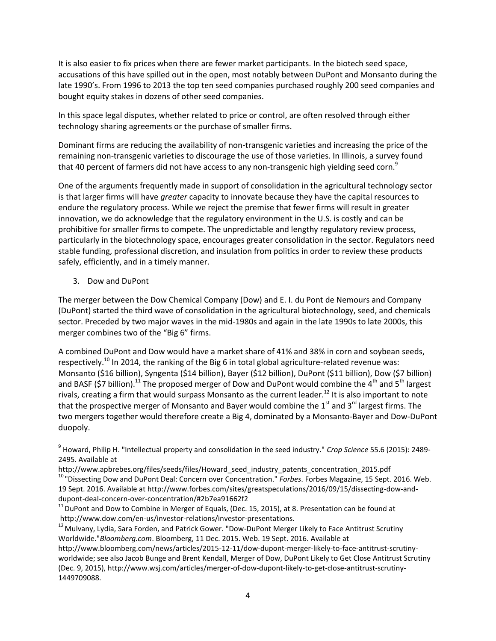It is also easier to fix prices when there are fewer market participants. In the biotech seed space, accusations of this have spilled out in the open, most notably between DuPont and Monsanto during the late 1990's. From 1996 to 2013 the top ten seed companies purchased roughly 200 seed companies and bought equity stakes in dozens of other seed companies.

In this space legal disputes, whether related to price or control, are often resolved through either technology sharing agreements or the purchase of smaller firms.

Dominant firms are reducing the availability of non-transgenic varieties and increasing the price of the remaining non-transgenic varieties to discourage the use of those varieties. In Illinois, a survey found that 40 percent of farmers did not have access to any non-transgenic high yielding seed corn.<sup>9</sup>

One of the arguments frequently made in support of consolidation in the agricultural technology sector is that larger firms will have *greater* capacity to innovate because they have the capital resources to endure the regulatory process. While we reject the premise that fewer firms will result in greater innovation, we do acknowledge that the regulatory environment in the U.S. is costly and can be prohibitive for smaller firms to compete. The unpredictable and lengthy regulatory review process, particularly in the biotechnology space, encourages greater consolidation in the sector. Regulators need stable funding, professional discretion, and insulation from politics in order to review these products safely, efficiently, and in a timely manner.

3. Dow and DuPont

 $\overline{\phantom{a}}$ 

The merger between the Dow Chemical Company (Dow) and E. I. du Pont de Nemours and Company (DuPont) started the third wave of consolidation in the agricultural biotechnology, seed, and chemicals sector. Preceded by two major waves in the mid-1980s and again in the late 1990s to late 2000s, this merger combines two of the "Big 6" firms.

A combined DuPont and Dow would have a market share of 41% and 38% in corn and soybean seeds, respectively.<sup>10</sup> In 2014, the ranking of the Big 6 in total global agriculture-related revenue was: Monsanto (\$16 billion), Syngenta (\$14 billion), Bayer (\$12 billion), DuPont (\$11 billion), Dow (\$7 billion) and BASF (\$7 billion).<sup>11</sup> The proposed merger of Dow and DuPont would combine the 4<sup>th</sup> and 5<sup>th</sup> largest rivals, creating a firm that would surpass Monsanto as the current leader.<sup>12</sup> It is also important to note that the prospective merger of Monsanto and Bayer would combine the  $1<sup>st</sup>$  and  $3<sup>rd</sup>$  largest firms. The two mergers together would therefore create a Big 4, dominated by a Monsanto-Bayer and Dow-DuPont duopoly.

<sup>9</sup> Howard, Philip H. "Intellectual property and consolidation in the seed industry." *Crop Science* 55.6 (2015): 2489- 2495. Available at

http://www.apbrebes.org/files/seeds/files/Howard\_seed\_industry\_patents\_concentration\_2015.pdf <sup>10</sup> "Dissecting Dow and DuPont Deal: Concern over Concentration." *Forbes*. Forbes Magazine, 15 Sept. 2016. Web. 19 Sept. 2016. Available at http://www.forbes.com/sites/greatspeculations/2016/09/15/dissecting-dow-anddupont-deal-concern-over-concentration/#2b7ea91662f2

 $11$  DuPont and Dow to Combine in Merger of Equals, (Dec. 15, 2015), at 8. Presentation can be found at http://www.dow.com/en-us/investor-relations/investor-presentations.

 $12$  Mulvany, Lydia, Sara Forden, and Patrick Gower. "Dow-DuPont Merger Likely to Face Antitrust Scrutiny Worldwide."*Bloomberg.com*. Bloomberg, 11 Dec. 2015. Web. 19 Sept. 2016. Available at

http://www.bloomberg.com/news/articles/2015-12-11/dow-dupont-merger-likely-to-face-antitrust-scrutinyworldwide; see also Jacob Bunge and Brent Kendall, Merger of Dow, DuPont Likely to Get Close Antitrust Scrutiny (Dec. 9, 2015), http://www.wsj.com/articles/merger-of-dow-dupont-likely-to-get-close-antitrust-scrutiny-1449709088.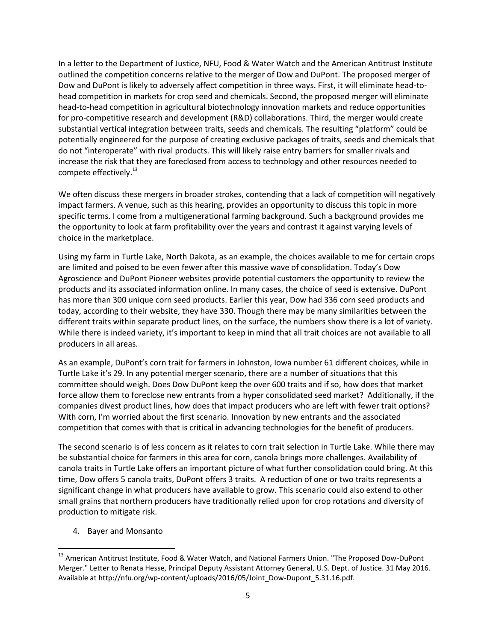In a letter to the Department of Justice, NFU, Food & Water Watch and the American Antitrust Institute outlined the competition concerns relative to the merger of Dow and DuPont. The proposed merger of Dow and DuPont is likely to adversely affect competition in three ways. First, it will eliminate head-tohead competition in markets for crop seed and chemicals. Second, the proposed merger will eliminate head-to-head competition in agricultural biotechnology innovation markets and reduce opportunities for pro-competitive research and development (R&D) collaborations. Third, the merger would create substantial vertical integration between traits, seeds and chemicals. The resulting "platform" could be potentially engineered for the purpose of creating exclusive packages of traits, seeds and chemicals that do not "interoperate" with rival products. This will likely raise entry barriers for smaller rivals and increase the risk that they are foreclosed from access to technology and other resources needed to compete effectively.<sup>13</sup>

We often discuss these mergers in broader strokes, contending that a lack of competition will negatively impact farmers. A venue, such as this hearing, provides an opportunity to discuss this topic in more specific terms. I come from a multigenerational farming background. Such a background provides me the opportunity to look at farm profitability over the years and contrast it against varying levels of choice in the marketplace.

Using my farm in Turtle Lake, North Dakota, as an example, the choices available to me for certain crops are limited and poised to be even fewer after this massive wave of consolidation. Today's Dow Agroscience and DuPont Pioneer websites provide potential customers the opportunity to review the products and its associated information online. In many cases, the choice of seed is extensive. DuPont has more than 300 unique corn seed products. Earlier this year, Dow had 336 corn seed products and today, according to their website, they have 330. Though there may be many similarities between the different traits within separate product lines, on the surface, the numbers show there is a lot of variety. While there is indeed variety, it's important to keep in mind that all trait choices are not available to all producers in all areas.

As an example, DuPont's corn trait for farmers in Johnston, Iowa number 61 different choices, while in Turtle Lake it's 29. In any potential merger scenario, there are a number of situations that this committee should weigh. Does Dow DuPont keep the over 600 traits and if so, how does that market force allow them to foreclose new entrants from a hyper consolidated seed market? Additionally, if the companies divest product lines, how does that impact producers who are left with fewer trait options? With corn, I'm worried about the first scenario. Innovation by new entrants and the associated competition that comes with that is critical in advancing technologies for the benefit of producers.

The second scenario is of less concern as it relates to corn trait selection in Turtle Lake. While there may be substantial choice for farmers in this area for corn, canola brings more challenges. Availability of canola traits in Turtle Lake offers an important picture of what further consolidation could bring. At this time, Dow offers 5 canola traits, DuPont offers 3 traits. A reduction of one or two traits represents a significant change in what producers have available to grow. This scenario could also extend to other small grains that northern producers have traditionally relied upon for crop rotations and diversity of production to mitigate risk.

4. Bayer and Monsanto

 $\overline{\phantom{a}}$ 

<sup>&</sup>lt;sup>13</sup> American Antitrust Institute, Food & Water Watch, and National Farmers Union. "The Proposed Dow-DuPont Merger." Letter to Renata Hesse, Principal Deputy Assistant Attorney General, U.S. Dept. of Justice. 31 May 2016. Available at http://nfu.org/wp-content/uploads/2016/05/Joint\_Dow-Dupont\_5.31.16.pdf.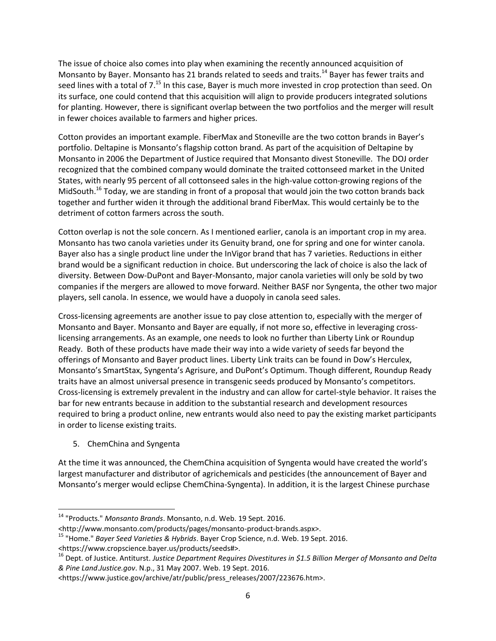The issue of choice also comes into play when examining the recently announced acquisition of Monsanto by Bayer. Monsanto has 21 brands related to seeds and traits.<sup>14</sup> Bayer has fewer traits and seed lines with a total of 7.<sup>15</sup> In this case, Bayer is much more invested in crop protection than seed. On its surface, one could contend that this acquisition will align to provide producers integrated solutions for planting. However, there is significant overlap between the two portfolios and the merger will result in fewer choices available to farmers and higher prices.

Cotton provides an important example. FiberMax and Stoneville are the two cotton brands in Bayer's portfolio. Deltapine is Monsanto's flagship cotton brand. As part of the acquisition of Deltapine by Monsanto in 2006 the Department of Justice required that Monsanto divest Stoneville. The DOJ order recognized that the combined company would dominate the traited cottonseed market in the United States, with nearly 95 percent of all cottonseed sales in the high-value cotton-growing regions of the MidSouth.<sup>16</sup> Today, we are standing in front of a proposal that would join the two cotton brands back together and further widen it through the additional brand FiberMax. This would certainly be to the detriment of cotton farmers across the south.

Cotton overlap is not the sole concern. As I mentioned earlier, canola is an important crop in my area. Monsanto has two canola varieties under its Genuity brand, one for spring and one for winter canola. Bayer also has a single product line under the InVigor brand that has 7 varieties. Reductions in either brand would be a significant reduction in choice. But underscoring the lack of choice is also the lack of diversity. Between Dow-DuPont and Bayer-Monsanto, major canola varieties will only be sold by two companies if the mergers are allowed to move forward. Neither BASF nor Syngenta, the other two major players, sell canola. In essence, we would have a duopoly in canola seed sales.

Cross-licensing agreements are another issue to pay close attention to, especially with the merger of Monsanto and Bayer. Monsanto and Bayer are equally, if not more so, effective in leveraging crosslicensing arrangements. As an example, one needs to look no further than Liberty Link or Roundup Ready. Both of these products have made their way into a wide variety of seeds far beyond the offerings of Monsanto and Bayer product lines. Liberty Link traits can be found in Dow's Herculex, Monsanto's SmartStax, Syngenta's Agrisure, and DuPont's Optimum. Though different, Roundup Ready traits have an almost universal presence in transgenic seeds produced by Monsanto's competitors. Cross-licensing is extremely prevalent in the industry and can allow for cartel-style behavior. It raises the bar for new entrants because in addition to the substantial research and development resources required to bring a product online, new entrants would also need to pay the existing market participants in order to license existing traits.

5. ChemChina and Syngenta

 $\overline{\phantom{a}}$ 

At the time it was announced, the ChemChina acquisition of Syngenta would have created the world's largest manufacturer and distributor of agrichemicals and pesticides (the announcement of Bayer and Monsanto's merger would eclipse ChemChina-Syngenta). In addition, it is the largest Chinese purchase

<sup>14</sup> "Products." *Monsanto Brands*. Monsanto, n.d. Web. 19 Sept. 2016.

<sup>&</sup>lt;http://www.monsanto.com/products/pages/monsanto-product-brands.aspx>.

<sup>15</sup> "Home." *Bayer Seed Varieties & Hybrids*. Bayer Crop Science, n.d. Web. 19 Sept. 2016.

<sup>&</sup>lt;https://www.cropscience.bayer.us/products/seeds#>.

<sup>16</sup> Dept. of Justice. Antiturst. *Justice Department Requires Divestitures in \$1.5 Billion Merger of Monsanto and Delta & Pine Land*.*Justice.gov*. N.p., 31 May 2007. Web. 19 Sept. 2016.

<sup>&</sup>lt;https://www.justice.gov/archive/atr/public/press\_releases/2007/223676.htm>.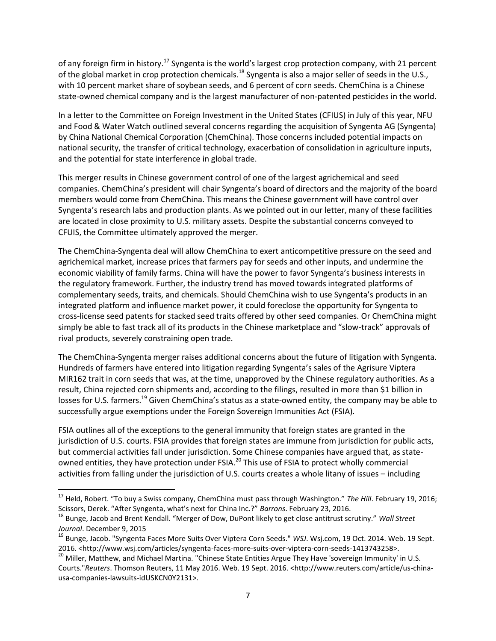of any foreign firm in history.<sup>17</sup> Syngenta is the world's largest crop protection company, with 21 percent of the global market in crop protection chemicals.<sup>18</sup> Syngenta is also a major seller of seeds in the U.S., with 10 percent market share of soybean seeds, and 6 percent of corn seeds. ChemChina is a Chinese state-owned chemical company and is the largest manufacturer of non-patented pesticides in the world.

In a letter to the Committee on Foreign Investment in the United States (CFIUS) in July of this year, NFU and Food & Water Watch outlined several concerns regarding the acquisition of Syngenta AG (Syngenta) by China National Chemical Corporation (ChemChina). Those concerns included potential impacts on national security, the transfer of critical technology, exacerbation of consolidation in agriculture inputs, and the potential for state interference in global trade.

This merger results in Chinese government control of one of the largest agrichemical and seed companies. ChemChina's president will chair Syngenta's board of directors and the majority of the board members would come from ChemChina. This means the Chinese government will have control over Syngenta's research labs and production plants. As we pointed out in our letter, many of these facilities are located in close proximity to U.S. military assets. Despite the substantial concerns conveyed to CFUIS, the Committee ultimately approved the merger.

The ChemChina-Syngenta deal will allow ChemChina to exert anticompetitive pressure on the seed and agrichemical market, increase prices that farmers pay for seeds and other inputs, and undermine the economic viability of family farms. China will have the power to favor Syngenta's business interests in the regulatory framework. Further, the industry trend has moved towards integrated platforms of complementary seeds, traits, and chemicals. Should ChemChina wish to use Syngenta's products in an integrated platform and influence market power, it could foreclose the opportunity for Syngenta to cross-license seed patents for stacked seed traits offered by other seed companies. Or ChemChina might simply be able to fast track all of its products in the Chinese marketplace and "slow-track" approvals of rival products, severely constraining open trade.

The ChemChina-Syngenta merger raises additional concerns about the future of litigation with Syngenta. Hundreds of farmers have entered into litigation regarding Syngenta's sales of the Agrisure Viptera MIR162 trait in corn seeds that was, at the time, unapproved by the Chinese regulatory authorities. As a result, China rejected corn shipments and, according to the filings, resulted in more than \$1 billion in losses for U.S. farmers.<sup>19</sup> Given ChemChina's status as a state-owned entity, the company may be able to successfully argue exemptions under the Foreign Sovereign Immunities Act (FSIA).

FSIA outlines all of the exceptions to the general immunity that foreign states are granted in the jurisdiction of U.S. courts. FSIA provides that foreign states are immune from jurisdiction for public acts, but commercial activities fall under jurisdiction. Some Chinese companies have argued that, as stateowned entities, they have protection under FSIA.<sup>20</sup> This use of FSIA to protect wholly commercial activities from falling under the jurisdiction of U.S. courts creates a whole litany of issues – including

 $\overline{\phantom{a}}$ 

<sup>17</sup> Held, Robert. "To buy a Swiss company, ChemChina must pass through Washington." *The Hill*. February 19, 2016; Scissors, Derek. "After Syngenta, what's next for China Inc.?" *Barrons*. February 23, 2016.

<sup>18</sup> Bunge, Jacob and Brent Kendall. "Merger of Dow, DuPont likely to get close antitrust scrutiny." *Wall Street Journal*. December 9, 2015

<sup>19</sup> Bunge, Jacob. "Syngenta Faces More Suits Over Viptera Corn Seeds." *WSJ*. Wsj.com, 19 Oct. 2014. Web. 19 Sept. 2016. <http://www.wsj.com/articles/syngenta-faces-more-suits-over-viptera-corn-seeds-1413743258>.

<sup>&</sup>lt;sup>20</sup> Miller, Matthew, and Michael Martina. "Chinese State Entities Argue They Have 'sovereign Immunity' in U.S. Courts."*Reuters*. Thomson Reuters, 11 May 2016. Web. 19 Sept. 2016. <http://www.reuters.com/article/us-chinausa-companies-lawsuits-idUSKCN0Y2131>.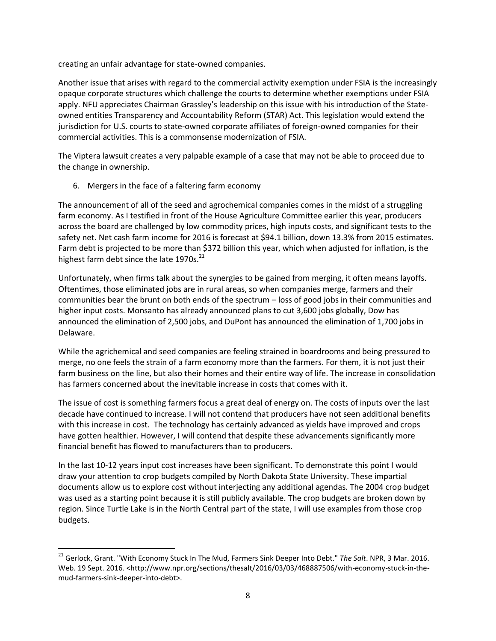creating an unfair advantage for state-owned companies.

Another issue that arises with regard to the commercial activity exemption under FSIA is the increasingly opaque corporate structures which challenge the courts to determine whether exemptions under FSIA apply. NFU appreciates Chairman Grassley's leadership on this issue with his introduction of the Stateowned entities Transparency and Accountability Reform (STAR) Act. This legislation would extend the jurisdiction for U.S. courts to state-owned corporate affiliates of foreign-owned companies for their commercial activities. This is a commonsense modernization of FSIA.

The Viptera lawsuit creates a very palpable example of a case that may not be able to proceed due to the change in ownership.

6. Mergers in the face of a faltering farm economy

 $\overline{\phantom{a}}$ 

The announcement of all of the seed and agrochemical companies comes in the midst of a struggling farm economy. As I testified in front of the House Agriculture Committee earlier this year, producers across the board are challenged by low commodity prices, high inputs costs, and significant tests to the safety net. Net cash farm income for 2016 is forecast at \$94.1 billion, down 13.3% from 2015 estimates. Farm debt is projected to be more than \$372 billion this year, which when adjusted for inflation, is the highest farm debt since the late  $1970s$ .<sup>21</sup>

Unfortunately, when firms talk about the synergies to be gained from merging, it often means layoffs. Oftentimes, those eliminated jobs are in rural areas, so when companies merge, farmers and their communities bear the brunt on both ends of the spectrum – loss of good jobs in their communities and higher input costs. Monsanto has already announced plans to cut 3,600 jobs globally, Dow has announced the elimination of 2,500 jobs, and DuPont has announced the elimination of 1,700 jobs in Delaware.

While the agrichemical and seed companies are feeling strained in boardrooms and being pressured to merge, no one feels the strain of a farm economy more than the farmers. For them, it is not just their farm business on the line, but also their homes and their entire way of life. The increase in consolidation has farmers concerned about the inevitable increase in costs that comes with it.

The issue of cost is something farmers focus a great deal of energy on. The costs of inputs over the last decade have continued to increase. I will not contend that producers have not seen additional benefits with this increase in cost. The technology has certainly advanced as yields have improved and crops have gotten healthier. However, I will contend that despite these advancements significantly more financial benefit has flowed to manufacturers than to producers.

In the last 10-12 years input cost increases have been significant. To demonstrate this point I would draw your attention to crop budgets compiled by North Dakota State University. These impartial documents allow us to explore cost without interjecting any additional agendas. The 2004 crop budget was used as a starting point because it is still publicly available. The crop budgets are broken down by region. Since Turtle Lake is in the North Central part of the state, I will use examples from those crop budgets.

<sup>21</sup> Gerlock, Grant. "With Economy Stuck In The Mud, Farmers Sink Deeper Into Debt." *The Salt*. NPR, 3 Mar. 2016. Web. 19 Sept. 2016. <http://www.npr.org/sections/thesalt/2016/03/03/468887506/with-economy-stuck-in-themud-farmers-sink-deeper-into-debt>.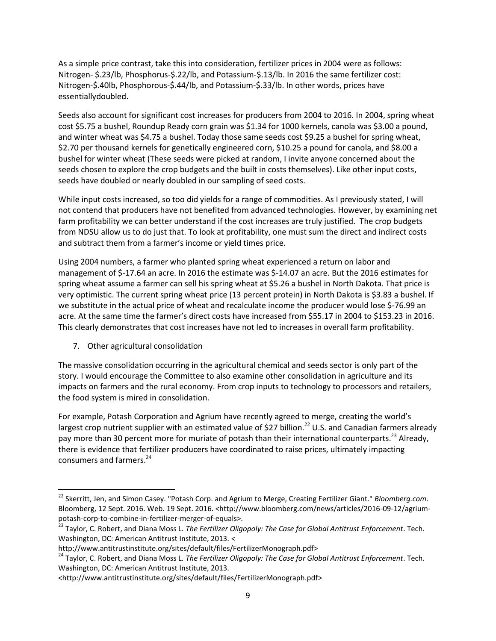As a simple price contrast, take this into consideration, fertilizer prices in 2004 were as follows: Nitrogen- \$.23/lb, Phosphorus-\$.22/lb, and Potassium-\$.13/lb. In 2016 the same fertilizer cost: Nitrogen-\$.40lb, Phosphorous-\$.44/lb, and Potassium-\$.33/lb. In other words, prices have essentiallydoubled.

Seeds also account for significant cost increases for producers from 2004 to 2016. In 2004, spring wheat cost \$5.75 a bushel, Roundup Ready corn grain was \$1.34 for 1000 kernels, canola was \$3.00 a pound, and winter wheat was \$4.75 a bushel. Today those same seeds cost \$9.25 a bushel for spring wheat, \$2.70 per thousand kernels for genetically engineered corn, \$10.25 a pound for canola, and \$8.00 a bushel for winter wheat (These seeds were picked at random, I invite anyone concerned about the seeds chosen to explore the crop budgets and the built in costs themselves). Like other input costs, seeds have doubled or nearly doubled in our sampling of seed costs.

While input costs increased, so too did yields for a range of commodities. As I previously stated, I will not contend that producers have not benefited from advanced technologies. However, by examining net farm profitability we can better understand if the cost increases are truly justified. The crop budgets from NDSU allow us to do just that. To look at profitability, one must sum the direct and indirect costs and subtract them from a farmer's income or yield times price.

Using 2004 numbers, a farmer who planted spring wheat experienced a return on labor and management of \$-17.64 an acre. In 2016 the estimate was \$-14.07 an acre. But the 2016 estimates for spring wheat assume a farmer can sell his spring wheat at \$5.26 a bushel in North Dakota. That price is very optimistic. The current spring wheat price (13 percent protein) in North Dakota is \$3.83 a bushel. If we substitute in the actual price of wheat and recalculate income the producer would lose \$-76.99 an acre. At the same time the farmer's direct costs have increased from \$55.17 in 2004 to \$153.23 in 2016. This clearly demonstrates that cost increases have not led to increases in overall farm profitability.

7. Other agricultural consolidation

 $\overline{\phantom{a}}$ 

The massive consolidation occurring in the agricultural chemical and seeds sector is only part of the story. I would encourage the Committee to also examine other consolidation in agriculture and its impacts on farmers and the rural economy. From crop inputs to technology to processors and retailers, the food system is mired in consolidation.

For example, Potash Corporation and Agrium have recently agreed to merge, creating the world's largest crop nutrient supplier with an estimated value of \$27 billion.<sup>22</sup> U.S. and Canadian farmers already pay more than 30 percent more for muriate of potash than their international counterparts.<sup>23</sup> Already, there is evidence that fertilizer producers have coordinated to raise prices, ultimately impacting consumers and farmers.<sup>24</sup>

<sup>24</sup> Taylor, C. Robert, and Diana Moss L. *The Fertilizer Oligopoly: The Case for Global Antitrust Enforcement*. Tech. Washington, DC: American Antitrust Institute, 2013.

<sup>22</sup> Skerritt, Jen, and Simon Casey. "Potash Corp. and Agrium to Merge, Creating Fertilizer Giant." *Bloomberg.com*. Bloomberg, 12 Sept. 2016. Web. 19 Sept. 2016. <http://www.bloomberg.com/news/articles/2016-09-12/agriumpotash-corp-to-combine-in-fertilizer-merger-of-equals>.

<sup>23</sup> Taylor, C. Robert, and Diana Moss L. *The Fertilizer Oligopoly: The Case for Global Antitrust Enforcement*. Tech. Washington, DC: American Antitrust Institute, 2013. <

http://www.antitrustinstitute.org/sites/default/files/FertilizerMonograph.pdf>

<sup>&</sup>lt;http://www.antitrustinstitute.org/sites/default/files/FertilizerMonograph.pdf>